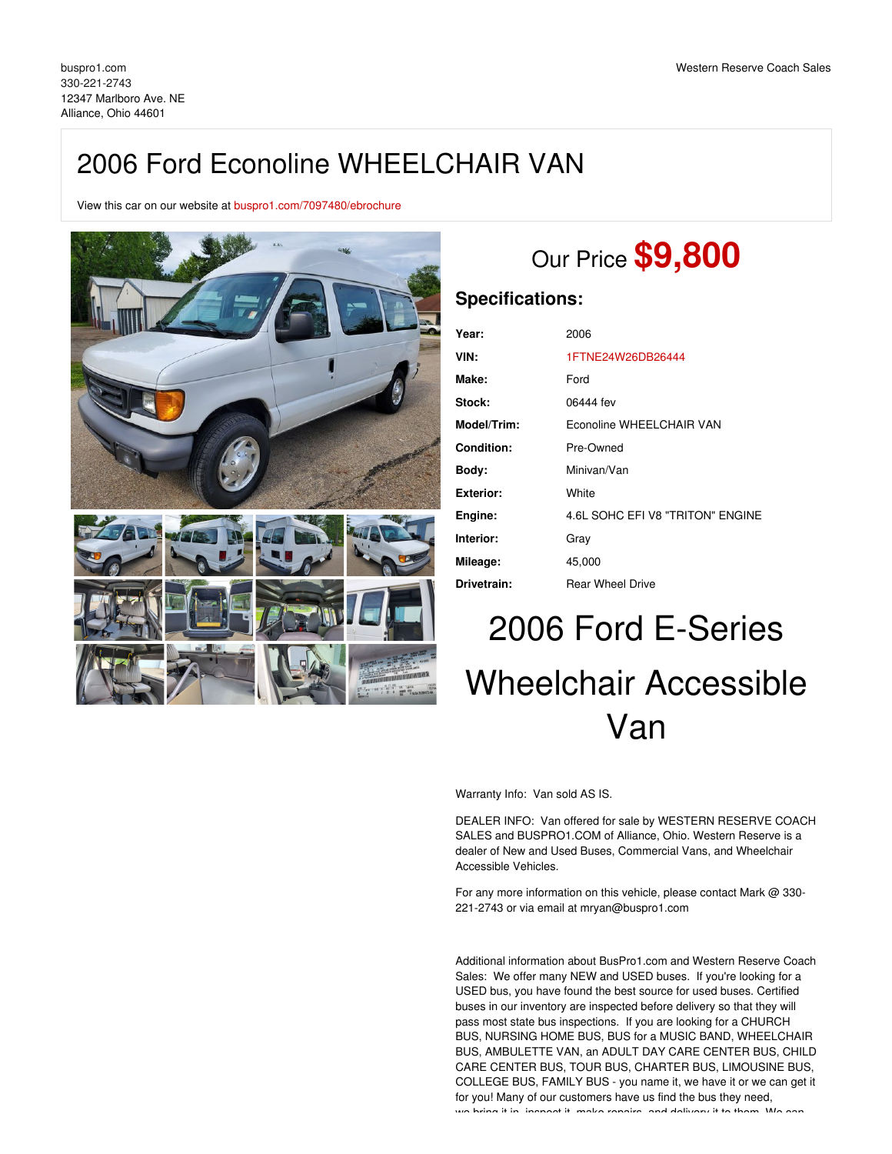# 2006 Ford Econoline WHEELCHAIR VAN

View this car on our website at [buspro1.com/7097480/ebrochure](https://buspro1.com/vehicle/7097480/2006-ford-econoline-wheelchair-van-alliance-ohio-44601/7097480/ebrochure)



# Our Price **\$9,800**

### **Specifications:**

| Year:             | 2006                             |
|-------------------|----------------------------------|
| VIN:              | 1FTNE24W26DB26444                |
| Make:             | Ford                             |
| Stock:            | 06444 fev                        |
| Model/Trim:       | Econoline WHEELCHAIR VAN         |
| <b>Condition:</b> | Pre-Owned                        |
| Body:             | Minivan/Van                      |
| <b>Exterior:</b>  | White                            |
| Engine:           | 4.6L SOHC EFI V8 "TRITON" ENGINE |
| Interior:         | Gray                             |
| Mileage:          | 45,000                           |
| Drivetrain:       | <b>Rear Wheel Drive</b>          |

# 2006 Ford E-Series Wheelchair Accessible Van

Warranty Info: Van sold AS IS.

DEALER INFO: Van offered for sale by WESTERN RESERVE COACH SALES and BUSPRO1.COM of Alliance, Ohio. Western Reserve is a dealer of New and Used Buses, Commercial Vans, and Wheelchair Accessible Vehicles.

For any more information on this vehicle, please contact Mark @ 330- 221-2743 or via email at mryan@buspro1.com

Additional information about BusPro1.com and Western Reserve Coach Sales: We offer many NEW and USED buses. If you're looking for a USED bus, you have found the best source for used buses. Certified buses in our inventory are inspected before delivery so that they will pass most state bus inspections. If you are looking for a CHURCH BUS, NURSING HOME BUS, BUS for a MUSIC BAND, WHEELCHAIR BUS, AMBULETTE VAN, an ADULT DAY CARE CENTER BUS, CHILD CARE CENTER BUS, TOUR BUS, CHARTER BUS, LIMOUSINE BUS, COLLEGE BUS, FAMILY BUS - you name it, we have it or we can get it for you! Many of our customers have us find the bus they need, we bring it in, increast it, make repairs, and delivery it to them. We can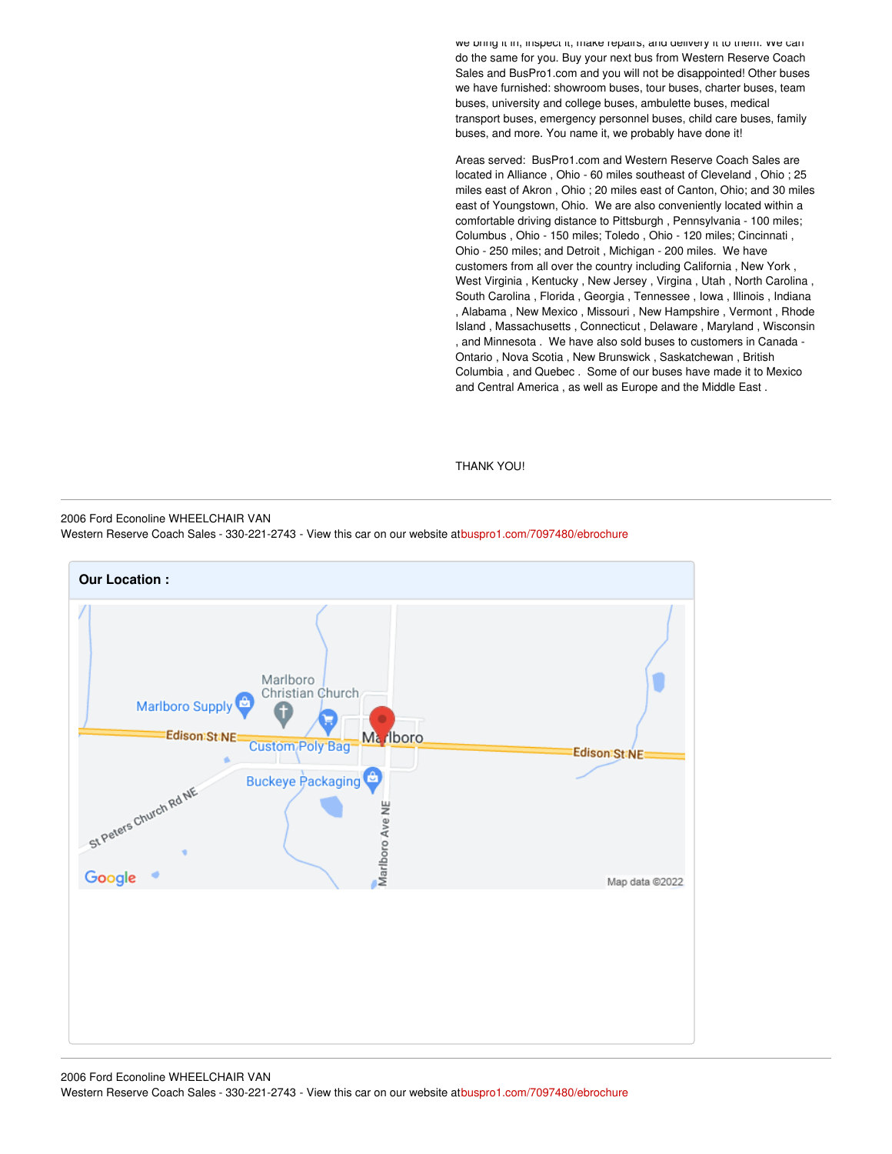we bring it in, inspect it, make repairs, and delivery it to them. We can do the same for you. Buy your next bus from Western Reserve Coach Sales and BusPro1.com and you will not be disappointed! Other buses we have furnished: showroom buses, tour buses, charter buses, team buses, university and college buses, ambulette buses, medical transport buses, emergency personnel buses, child care buses, family buses, and more. You name it, we probably have done it!

Areas served: BusPro1.com and Western Reserve Coach Sales are located in Alliance , Ohio - 60 miles southeast of Cleveland , Ohio ; 25 miles east of Akron , Ohio ; 20 miles east of Canton, Ohio; and 30 miles east of Youngstown, Ohio. We are also conveniently located within a comfortable driving distance to Pittsburgh , Pennsylvania - 100 miles; Columbus , Ohio - 150 miles; Toledo , Ohio - 120 miles; Cincinnati , Ohio - 250 miles; and Detroit , Michigan - 200 miles. We have customers from all over the country including California , New York , West Virginia , Kentucky , New Jersey , Virgina , Utah , North Carolina , South Carolina , Florida , Georgia , Tennessee , Iowa , Illinois , Indiana , Alabama , New Mexico , Missouri , New Hampshire , Vermont , Rhode Island , Massachusetts , Connecticut , Delaware , Maryland , Wisconsin , and Minnesota . We have also sold buses to customers in Canada - Ontario , Nova Scotia , New Brunswick , Saskatchewan , British Columbia , and Quebec . Some of our buses have made it to Mexico and Central America , as well as Europe and the Middle East .

#### THANK YOU!

2006 Ford Econoline WHEELCHAIR VAN

Western Reserve Coach Sales - 330-221-2743 - View this car on our website a[tbuspro1.com/7097480/ebrochure](https://buspro1.com/vehicle/7097480/2006-ford-econoline-wheelchair-van-alliance-ohio-44601/7097480/ebrochure)